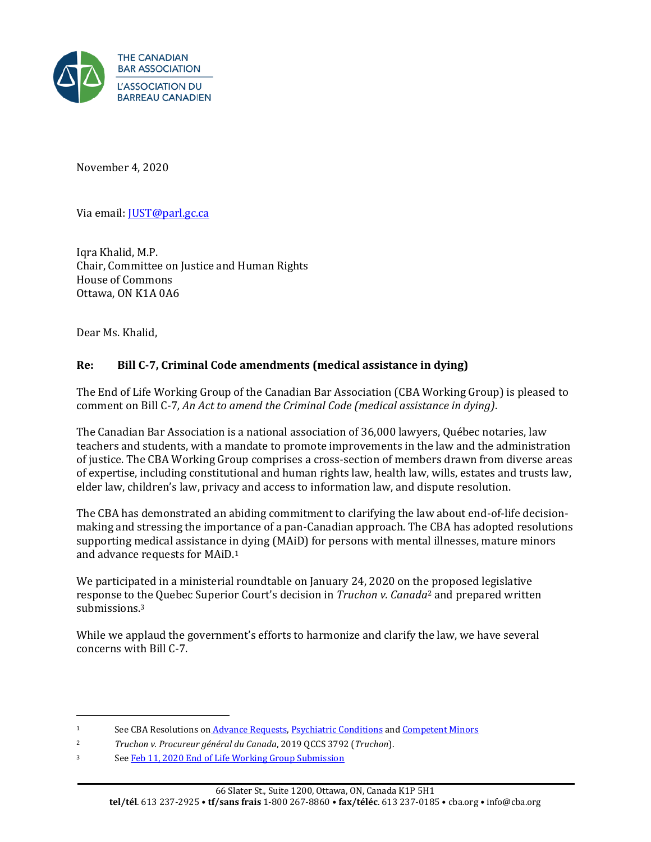

November 4, 2020

Via email[: JUST@parl.gc.ca](mailto:JUST@parl.gc.ca)

Iqra Khalid, M.P. Chair, Committee on Justice and Human Rights House of Commons Ottawa, ON K1A 0A6

Dear Ms. Khalid,

# **Re: Bill C-7, Criminal Code amendments (medical assistance in dying)**

The End of Life Working Group of the Canadian Bar Association (CBA Working Group) is pleased to comment on Bill C-7*, An Act to amend the Criminal Code (medical assistance in dying)*.

The Canadian Bar Association is a national association of 36,000 lawyers, Québec notaries, law teachers and students, with a mandate to promote improvements in the law and the administration of justice. The CBA Working Group comprises a cross-section of members drawn from diverse areas of expertise, including constitutional and human rights law, health law, wills, estates and trusts law, elder law, children's law, privacy and access to information law, and dispute resolution.

The CBA has demonstrated an abiding commitment to clarifying the law about end-of-life decisionmaking and stressing the importance of a pan-Canadian approach. The CBA has adopted resolutions supporting medical assistance in dying (MAiD) for persons with mental illnesses, mature minors and advance requests for MAiD. 1

We participated in a ministerial roundtable on January 24, 2020 on the proposed legislative response to the Quebec Superior Court's decision in *Truchon v. Canada*<sup>2</sup> and prepared written submissions. 3

While we applaud the government's efforts to harmonize and clarify the law, we have several concerns with Bill C-7.

<sup>1</sup> See CBA Resolutions on [A](http://www.cba.org/Our-Work/Resolutions/Resolutions/2016/Advance-Requests-for-Medical-Assistance-in-Dying)dvance [Requests,](http://www.cba.org/Our-Work/Resolutions/Resolutions/2016/Advance-Requests-for-Medical-Assistance-in-Dying) [Psychiatric Conditions](http://www.cba.org/Our-Work/Resolutions/Resolutions/2016/Medical-Assistance-in-Dying-and-Psychiatric-Condit) an[d Competent Minors](http://www.cba.org/Our-Work/Resolutions/Resolutions/2016/Medical-Assistance-in-Dying-for-Competent-Minors)

<sup>2</sup> *Truchon v. Procureur général du Canada*, 2019 QCCS 3792 (*Truchon*).

<sup>3</sup> Se[e Feb 11, 2020 End of Life Working Group Submission](https://www.cba.org/CMSPages/GetFile.aspx?guid=5d4839d6-6610-4377-92cf-adc79eedeab3)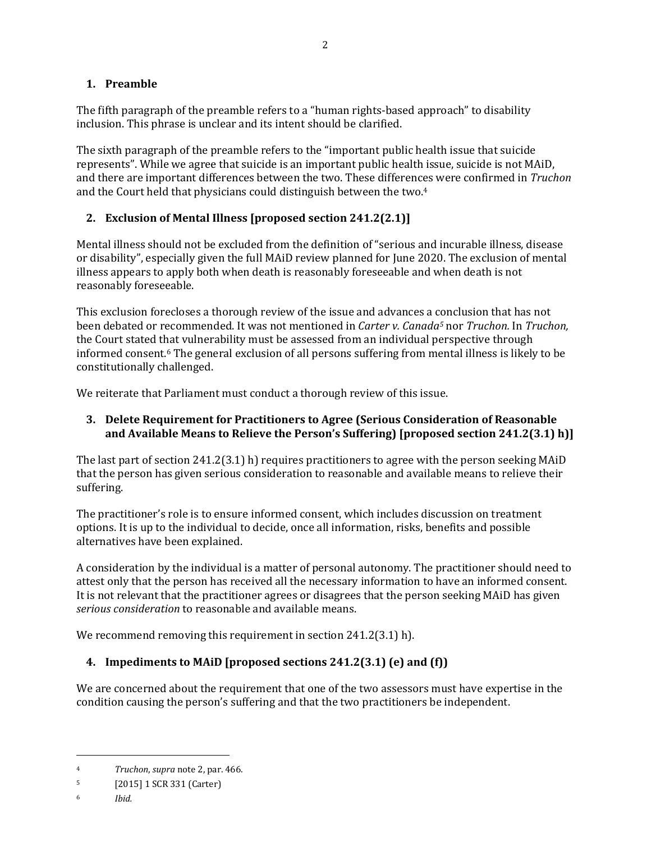### **1. Preamble**

The fifth paragraph of the preamble refers to a "human rights-based approach" to disability inclusion. This phrase is unclear and its intent should be clarified.

The sixth paragraph of the preamble refers to the "important public health issue that suicide represents". While we agree that suicide is an important public health issue, suicide is not MAiD, and there are important differences between the two. These differences were confirmed in *Truchon*  and the Court held that physicians could distinguish between the two. 4

# **2. Exclusion of Mental Illness [proposed section 241.2(2.1)]**

Mental illness should not be excluded from the definition of "serious and incurable illness, disease or disability", especially given the full MAiD review planned for June 2020. The exclusion of mental illness appears to apply both when death is reasonably foreseeable and when death is not reasonably foreseeable.

This exclusion forecloses a thorough review of the issue and advances a conclusion that has not been debated or recommended. It was not mentioned in *Carter v. Canada<sup>5</sup>* nor *Truchon.* In *Truchon,*  the Court stated that vulnerability must be assessed from an individual perspective through informed consent. <sup>6</sup> The general exclusion of all persons suffering from mental illness is likely to be constitutionally challenged.

We reiterate that Parliament must conduct a thorough review of this issue.

### **3. Delete Requirement for Practitioners to Agree (Serious Consideration of Reasonable and Available Means to Relieve the Person's Suffering) [proposed section 241.2(3.1) h)]**

The last part of section 241.2(3.1) h) requires practitioners to agree with the person seeking MAiD that the person has given serious consideration to reasonable and available means to relieve their suffering.

The practitioner's role is to ensure informed consent, which includes discussion on treatment options. It is up to the individual to decide, once all information, risks, benefits and possible alternatives have been explained.

A consideration by the individual is a matter of personal autonomy. The practitioner should need to attest only that the person has received all the necessary information to have an informed consent. It is not relevant that the practitioner agrees or disagrees that the person seeking MAiD has given *serious consideration* to reasonable and available means.

We recommend removing this requirement in section 241.2(3.1) h).

# **4. Impediments to MAiD [proposed sections 241.2(3.1) (e) and (f))**

We are concerned about the requirement that one of the two assessors must have expertise in the condition causing the person's suffering and that the two practitioners be independent.

<sup>4</sup> *Truchon*, *supra* note 2, par. 466.

<sup>5</sup> [2015] 1 SCR 331 (Carter)

<sup>6</sup> *Ibid.*